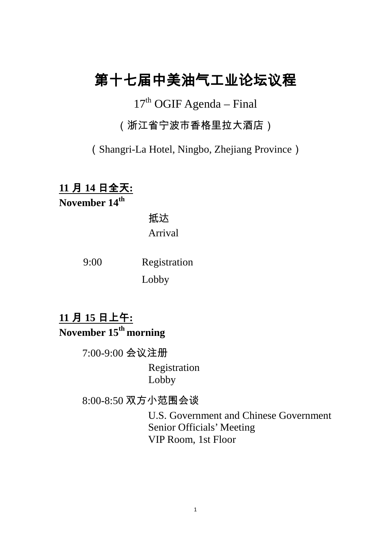# 第十七届中美油气工业论坛议程

 $17<sup>th</sup>$  OGIF Agenda – Final

(浙江省宁波市香格里拉大酒店)

(Shangri-La Hotel, Ningbo, Zhejiang Province)

**11** 月 **14** 日全天**: November 14th**

> 抵达 Arrival

9:00 Registration

Lobby

**11** 月 **15** 日上午**: November 15th morning**

7:00-9:00 会议注册

Registration Lobby

8:00-8:50 双方小范围会谈

U.S. Government and Chinese Government Senior Officials' Meeting VIP Room, 1st Floor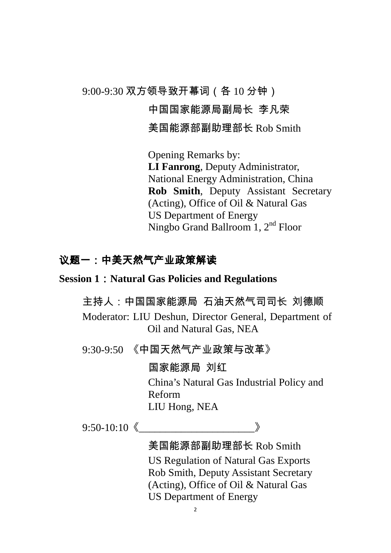9:00-9:30 双方领导致开幕词(各 10 分钟)

#### 中国国家能源局副局长 李凡荣

美国能源部副助理部长 Rob Smith

Opening Remarks by: **LI Fanrong**, Deputy Administrator, National Energy Administration, China **Rob Smith**, Deputy Assistant Secretary (Acting), Office of Oil & Natural Gas US Department of Energy Ningbo Grand Ballroom 1, 2<sup>nd</sup> Floor

### 议题一:中美天然气产业政策解读

#### **Session 1**:**Natural Gas Policies and Regulations**

主持人:中国国家能源局 石油天然气司司长 刘德顺

Moderator: LIU Deshun, Director General, Department of Oil and Natural Gas, NEA

9:30-9:50 《中国天然气产业政策与改革》

国家能源局 刘红

China's Natural Gas Industrial Policy and Reform LIU Hong, NEA

 $9:50-10:10$   $\langle \qquad \qquad \rangle$ 

### 美国能源部副助理部长 Rob Smith

US Regulation of Natural Gas Exports Rob Smith, Deputy Assistant Secretary (Acting), Office of Oil & Natural Gas US Department of Energy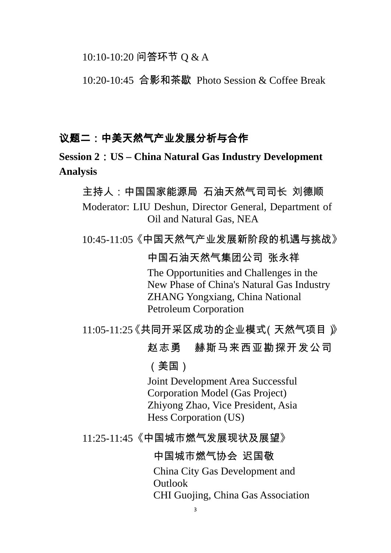10:10-10:20 问答环节 Q & A

10:20-10:45 合影和茶歇 Photo Session & Coffee Break

### 议题二:中美天然气产业发展分析与合作

**Session 2**:**US – China Natural Gas Industry Development Analysis**

主持人:中国国家能源局 石油天然气司司长 刘德顺 Moderator: LIU Deshun, Director General, Department of Oil and Natural Gas, NEA

10:45-11:05《中国天然气产业发展新阶段的机遇与挑战》

中国石油天然气集团公司 张永祥

The Opportunities and Challenges in the New Phase of China's Natural Gas Industry ZHANG Yongxiang, China National Petroleum Corporation

11:05-11:25《共同开采区成功的企业模式(天然气项目)》

### 赵志勇 赫斯马来西亚勘探开发公司

(美国)

Joint Development Area Successful Corporation Model (Gas Project) Zhiyong Zhao, Vice President, Asia Hess Corporation (US)

11:25-11:45《中国城市燃气发展现状及展望》

中国城市燃气协会 迟国敬

China City Gas Development and Outlook

CHI Guojing, China Gas Association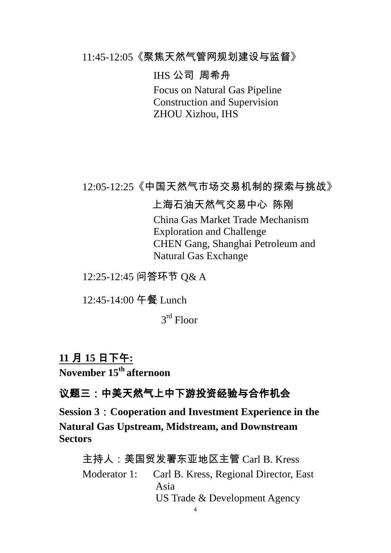11:45-12:05《聚焦天然气管网规划建设与监督》

IHS 公司 周希舟

Focus on Natural Gas Pipeline Construction and Supervision ZHOU Xizhou, IHS

12:05-12:25《中国天然气市场交易机制的探索与挑战》

### 上海石油天然气交易中心 陈刚

China Gas Market Trade Mechanism Exploration and Challenge CHEN Gang, Shanghai Petroleum and Natural Gas Exchange

12:25-12:45 问答环节 Q& A

12:45-14:00 午餐 Lunch

3rd Floor

# **11** 月 **15** 日下午**:**

**November 15th afternoon**

# 议题三:中美天然气上中下游投资经验与合作机会

**Session 3**:**Cooperation and Investment Experience in the Natural Gas Upstream, Midstream, and Downstream Sectors**

主持人:美国贸发署东亚地区主管 Carl B. Kress Moderator 1: Carl B. Kress, Regional Director, East Asia US Trade & Development Agency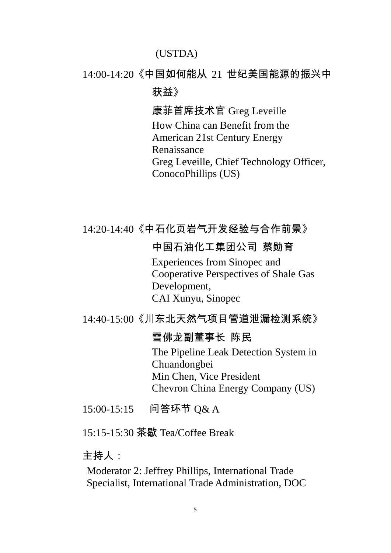#### (USTDA)

#### 14:00-14:20《中国如何能从 21 世纪美国能源的振兴中

获益》

康菲首席技术官 Greg Leveille How China can Benefit from the American 21st Century Energy Renaissance Greg Leveille, Chief Technology Officer, ConocoPhillips (US)

### 14:20-14:40《中石化页岩气开发经验与合作前景》

#### 中国石油化工集团公司 蔡勋育

Experiences from Sinopec and Cooperative Perspectives of Shale Gas Development, CAI Xunyu, Sinopec

14:40-15:00《川东北天然气项目管道泄漏检测系统》

#### 雪佛龙副董事长 陈民

The Pipeline Leak Detection System in Chuandongbei Min Chen, Vice President Chevron China Energy Company (US)

15:00-15:15 问答环节 Q& A

15:15-15:30 茶歇 Tea/Coffee Break

主持人:

Moderator 2: Jeffrey Phillips, International Trade Specialist, International Trade Administration, DOC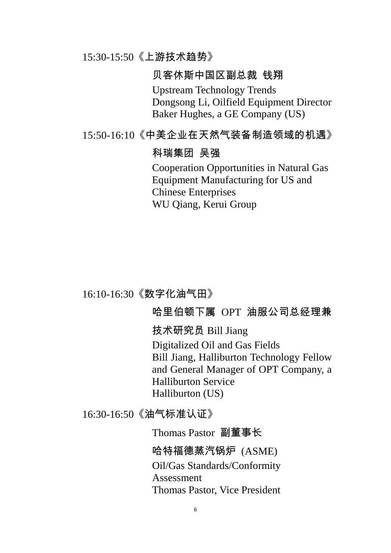#### 15:30-15:50《上游技术趋势》

#### 贝客休斯中国区副总裁 钱翔

Upstream Technology Trends Dongsong Li, Oilfield Equipment Director Baker Hughes, a GE Company (US)

#### 15:50-16:10《中美企业在天然气装备制造领域的机遇》

#### 科瑞集团 吴强

Cooperation Opportunities in Natural Gas Equipment Manufacturing for US and Chinese Enterprises WU Qiang, Kerui Group

16:10-16:30《数字化油气田》

### 哈里伯顿下属 OPT 油服公司总经理兼

技术研究员 Bill Jiang

Digitalized Oil and Gas Fields Bill Jiang, Halliburton Technology Fellow and General Manager of OPT Company, a Halliburton Service Halliburton (US)

16:30-16:50《油气标准认证》

Thomas Pastor 副董事长 哈特福德蒸汽锅炉 (ASME)

Oil/Gas Standards/Conformity Assessment Thomas Pastor, Vice President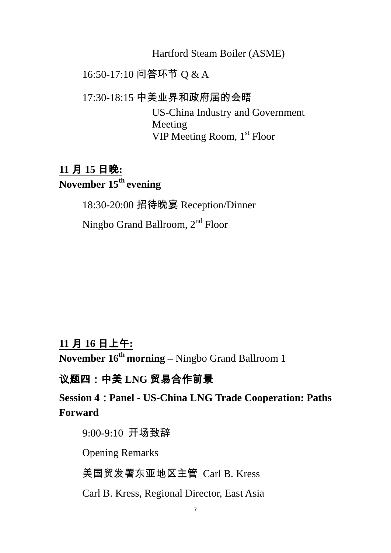Hartford Steam Boiler (ASME)

### 16:50-17:10 问答环节 Q & A

17:30-18:15 中美业界和政府届的会晤

US-China Industry and Government Meeting VIP Meeting Room, 1<sup>st</sup> Floor

# **11** 月 **15** 日晚**: November 15th evening**

18:30-20:00 招待晚宴 Reception/Dinner

Ningbo Grand Ballroom, 2nd Floor

## **11** 月 **16** 日上午**:**

**November 16th morning –** Ningbo Grand Ballroom 1

### 议题四:中美 **LNG** 贸易合作前景

**Session 4**:**Panel - US-China LNG Trade Cooperation: Paths Forward**

9:00-9:10 开场致辞

Opening Remarks

美国贸发署东亚地区主管 Carl B. Kress

Carl B. Kress, Regional Director, East Asia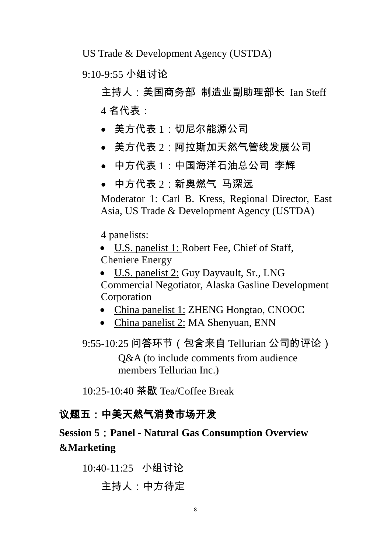US Trade & Development Agency (USTDA)

9:10-9:55 小组讨论

主持人:美国商务部 制造业副助理部长 Ian Steff 4 名代表:

- 美方代表 1:切尼尔能源公司
- 美方代表 2:阿拉斯加天然气管线发展公司
- 中方代表 1:中国海洋石油总公司 李辉
- 中方代表 2: 新奥燃气 马深远

Moderator 1: Carl B. Kress, Regional Director, East Asia, US Trade & Development Agency (USTDA)

4 panelists:

• U.S. panelist 1: Robert Fee, Chief of Staff, Cheniere Energy

- U.S. panelist 2: Guy Dayvault, Sr., LNG Commercial Negotiator, Alaska Gasline Development Corporation
- China panelist 1: ZHENG Hongtao, CNOOC
- China panelist 2: MA Shenyuan, ENN
- 9:55-10:25 问答环节(包含来自 Tellurian 公司的评论)

Q&A (to include comments from audience members Tellurian Inc.)

10:25-10:40 茶歇 Tea/Coffee Break

### 议题五:中美天然气消费市场开发

# **Session 5**:**Panel - Natural Gas Consumption Overview &Marketing**

10:40-11:25 小组讨论 主持人:中方待定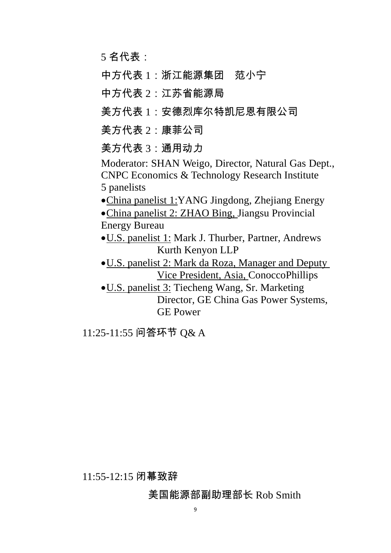5 名代表:

中方代表 1:浙江能源集团 范小宁

中方代表 2:江苏省能源局

美方代表 1:安德烈库尔特凯尼恩有限公司

美方代表 2:康菲公司

美方代表 3:通用动力

Moderator: SHAN Weigo, Director, Natural Gas Dept., CNPC Economics & Technology Research Institute 5 panelists

•China panelist 1:YANG Jingdong, Zhejiang Energy

•China panelist 2: ZHAO Bing, Jiangsu Provincial Energy Bureau

•U.S. panelist 1: Mark J. Thurber, Partner, Andrews Kurth Kenyon LLP

•U.S. panelist 2: Mark da Roza, Manager and Deputy Vice President, Asia, ConoccoPhillips

•U.S. panelist 3: Tiecheng Wang, Sr. Marketing Director, GE China Gas Power Systems, GE Power

11:25-11:55 问答环节 Q& A

11:55-12:15 闭幕致辞

### 美国能源部副助理部长 Rob Smith